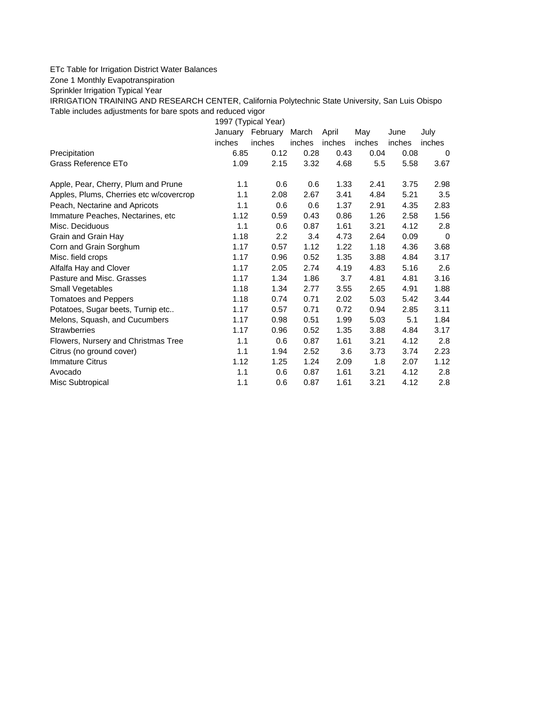## ETc Table for Irrigation District Water Balances

Zone 1 Monthly Evapotranspiration

Sprinkler Irrigation Typical Year

IRRIGATION TRAINING AND RESEARCH CENTER, California Polytechnic State University, San Luis Obispo Table includes adjustments for bare spots and reduced vigor

1997 (Typical Year) January February March April May June July inches inches inches inches inches inches inches Precipitation 6.85 0.12 0.28 0.43 0.04 0.08 0 Grass Reference ETo **1.09** 2.15 3.32 4.68 5.5 5.58 3.67 Apple, Pear, Cherry, Plum and Prune 1.1 0.6 0.6 1.33 2.41 3.75 2.98 Apples, Plums, Cherries etc w/covercrop 1.1 2.08 2.67 3.41 4.84 5.21 3.5 Peach, Nectarine and Apricots 1.1 0.6 0.6 1.37 2.91 4.35 2.83 Immature Peaches, Nectarines, etc 1.12 0.59 0.43 0.86 1.26 2.58 1.56 Misc. Deciduous 1.1 0.6 0.87 1.61 3.21 4.12 2.8 Grain and Grain Hay  $1.18$   $2.2$   $3.4$   $4.73$   $2.64$   $0.09$  0 Corn and Grain Sorghum 1.17 0.57 1.12 1.22 1.18 4.36 3.68 Misc. field crops 1.17 0.96 0.52 1.35 3.88 4.84 3.17 Alfalfa Hay and Clover 1.17 2.05 2.74 4.19 4.83 5.16 2.6 Pasture and Misc. Grasses 1.17 1.34 1.86 3.7 4.81 4.81 3.16 Small Vegetables 1.18 1.34 2.77 3.55 2.65 4.91 1.88 Tomatoes and Peppers 1.18 0.74 0.71 2.02 5.03 5.42 3.44 Potatoes, Sugar beets, Turnip etc.. <br>1.17 0.57 0.71 0.72 0.94 2.85 3.11 Melons, Squash, and Cucumbers 1.17 0.98 0.51 1.99 5.03 5.1 1.84 Strawberries 1.17 0.96 0.52 1.35 3.88 4.84 3.17 Flowers, Nursery and Christmas Tree 1.1 0.6 0.87 1.61 3.21 4.12 2.8 Citrus (no ground cover) 1.1 1.94 2.52 3.6 3.73 3.74 2.23 Immature Citrus 1.12 1.25 1.24 2.09 1.8 2.07 1.12 Avocado 1.1 0.6 0.87 1.61 3.21 4.12 2.8 Misc Subtropical 1.1 0.6 0.87 1.61 3.21 4.12 2.8